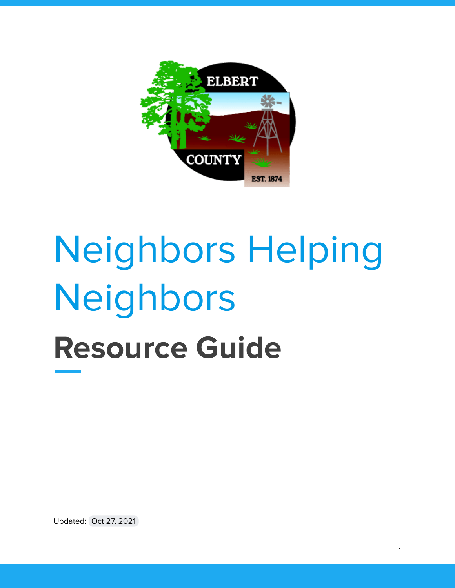

# Neighbors Helping Neighbors **Resource Guide**

Updated: Oct 27, 2021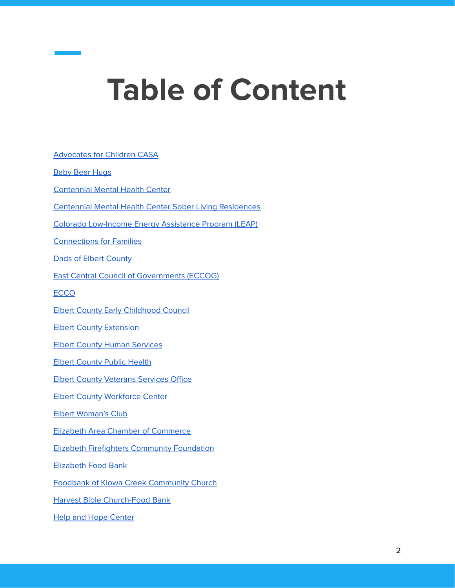# **Table of Content**

[Advocates](#page-3-0) for Children CASA Baby Bear [Hugs](#page-5-0) [Centennial](#page-6-0) Mental Health Center Centennial Mental Health Center Sober Living [Residences](#page-7-0) Colorado [Low-Income](#page-8-0) Energy Assistance Program (LEAP) [Connections](#page-9-0) for Families Dads of Elbert [County](#page-12-0) East Central Council of [Governments](#page-13-0) (ECCOG) [ECCO](#page-14-0) Elbert County Early [Childhood](#page-15-0) Council Elbert County [Extension](#page-16-0) Elbert County Human [Services](#page-17-0) **Elbert [County](#page-18-0) Public Health** Elbert County [Veterans](#page-19-0) Services Office Elbert County [Workforce](#page-20-0) Center Elbert [Woman's](#page-21-0) Club Elizabeth Area Chamber of [Commerce](#page-22-0) Elizabeth Firefighters [Community](#page-23-0) Foundation [Elizabeth](#page-24-0) Food Bank Foodbank of Kiowa Creek [Community](#page-25-0) Church Harvest Bible [Church-Food](#page-26-0) Bank Help and Hope [Center](#page-27-0)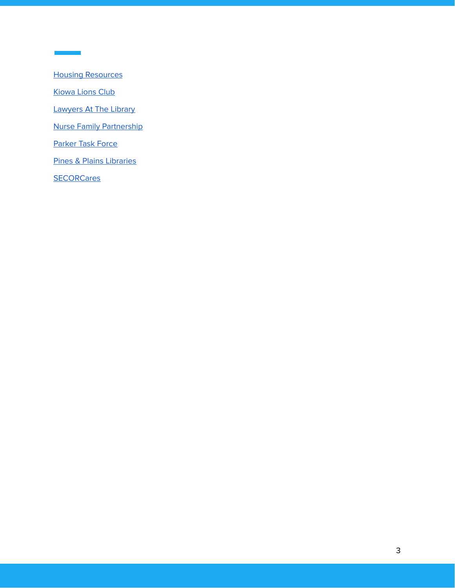Housing [Resources](#page-28-0)

[Kiowa](#page-30-0) Lions Club

÷,

[Lawyers](#page-31-0) At The Library

Nurse Family [Partnership](#page-32-0)

[Parker](#page-33-0) Task Force

Pines & Plains [Libraries](#page-34-0)

**[SECORCares](#page-35-0)**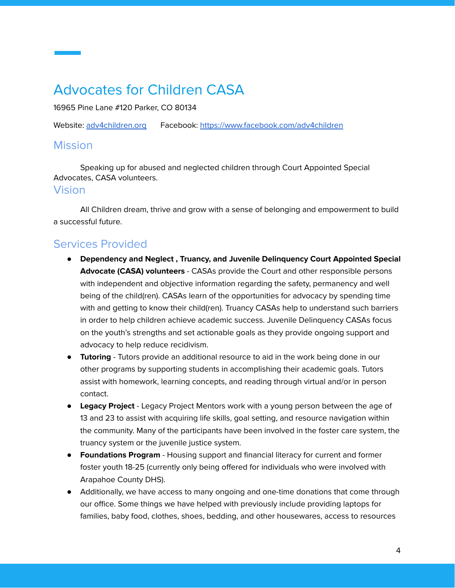# <span id="page-3-0"></span>Advocates for Children CASA

16965 Pine Lane #120 Parker, CO 80134

Website: [adv4children.org](https://adv4children.org/) Facebook: <https://www.facebook.com/adv4children>

#### **Mission**

Speaking up for abused and neglected children through Court Appointed Special Advocates, CASA volunteers.

#### Vision

All Children dream, thrive and grow with a sense of belonging and empowerment to build a successful future.

## Services Provided

- **Dependency and Neglect , Truancy, and Juvenile Delinquency Court Appointed Special Advocate (CASA) volunteers** - CASAs provide the Court and other responsible persons with independent and objective information regarding the safety, permanency and well being of the child(ren). CASAs learn of the opportunities for advocacy by spending time with and getting to know their child(ren). Truancy CASAs help to understand such barriers in order to help children achieve academic success. Juvenile Delinquency CASAs focus on the youth's strengths and set actionable goals as they provide ongoing support and advocacy to help reduce recidivism.
- **Tutoring** Tutors provide an additional resource to aid in the work being done in our other programs by supporting students in accomplishing their academic goals. Tutors assist with homework, learning concepts, and reading through virtual and/or in person contact.
- **Legacy Project** Legacy Project Mentors work with a young person between the age of 13 and 23 to assist with acquiring life skills, goal setting, and resource navigation within the community. Many of the participants have been involved in the foster care system, the truancy system or the juvenile justice system.
- **Foundations Program** Housing support and financial literacy for current and former foster youth 18-25 (currently only being offered for individuals who were involved with Arapahoe County DHS).
- Additionally, we have access to many ongoing and one-time donations that come through our office. Some things we have helped with previously include providing laptops for families, baby food, clothes, shoes, bedding, and other housewares, access to resources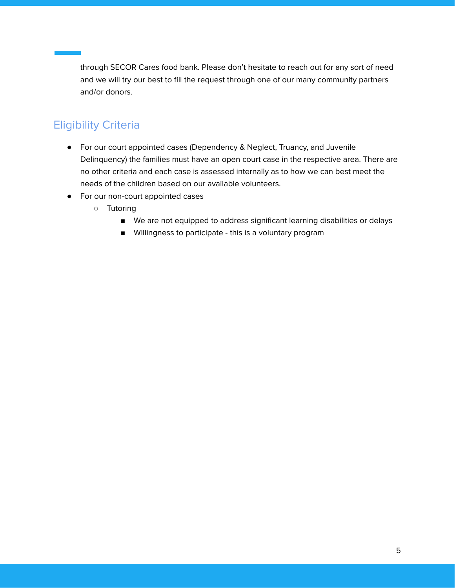through SECOR Cares food bank. Please don't hesitate to reach out for any sort of need and we will try our best to fill the request through one of our many community partners and/or donors.

## Eligibility Criteria

- For our court appointed cases (Dependency & Neglect, Truancy, and Juvenile Delinquency) the families must have an open court case in the respective area. There are no other criteria and each case is assessed internally as to how we can best meet the needs of the children based on our available volunteers.
- For our non-court appointed cases
	- Tutoring
		- We are not equipped to address significant learning disabilities or delays
		- Willingness to participate this is a voluntary program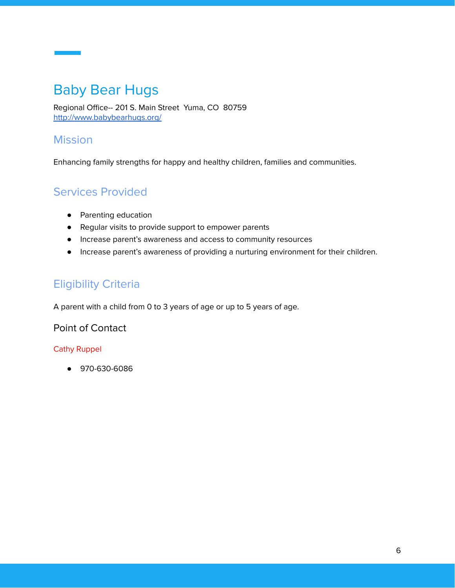# <span id="page-5-0"></span>Baby Bear Hugs

Regional Office-- 201 S. Main Street Yuma, CO 80759 <http://www.babybearhugs.org/>

#### **Mission**

Enhancing family strengths for happy and healthy children, families and communities.

## Services Provided

- Parenting education
- Regular visits to provide support to empower parents
- Increase parent's awareness and access to community resources
- Increase parent's awareness of providing a nurturing environment for their children.

## Eligibility Criteria

A parent with a child from 0 to 3 years of age or up to 5 years of age.

Point of Contact

#### Cathy Ruppel

● 970-630-6086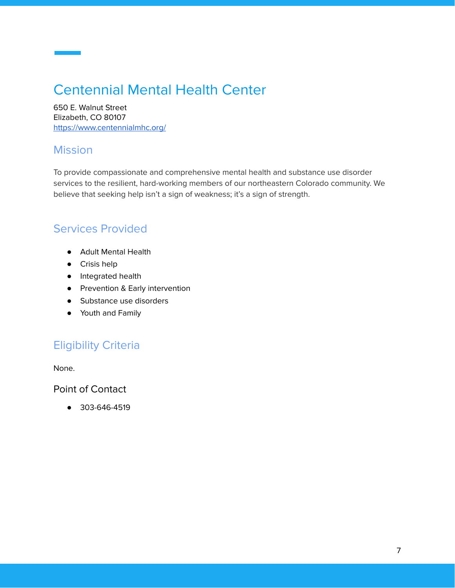# <span id="page-6-0"></span>Centennial Mental Health Center

650 E. Walnut Street Elizabeth, CO 80107 <https://www.centennialmhc.org/>

#### **Mission**

To provide compassionate and comprehensive mental health and substance use disorder services to the resilient, hard-working members of our northeastern Colorado community. We believe that seeking help isn't a sign of weakness; it's a sign of strength.

#### Services Provided

- Adult Mental Health
- Crisis help
- Integrated health
- Prevention & Early intervention
- Substance use disorders
- Youth and Family

## Eligibility Criteria

None.

Point of Contact

● 303-646-4519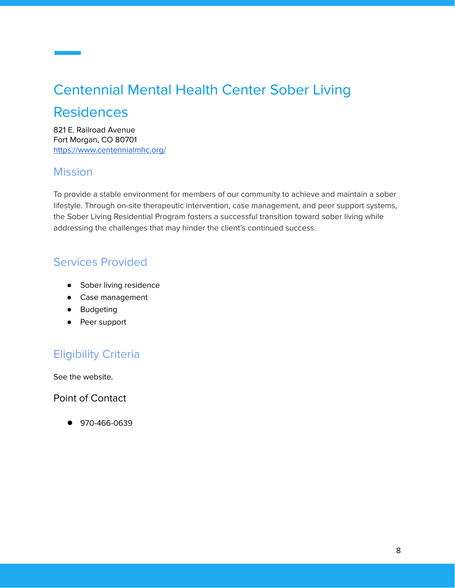# <span id="page-7-0"></span>Centennial Mental Health Center Sober Living

## Residences

821 E. Railroad Avenue Fort Morgan, CO 80701 <https://www.centennialmhc.org/>

#### **Mission**

To provide a stable environment for members of our community to achieve and maintain a sober lifestyle. Through on-site therapeutic intervention, case management, and peer support systems, the Sober Living Residential Program fosters a successful transition toward sober living while addressing the challenges that may hinder the client's continued success.

## Services Provided

- Sober living residence
- Case management
- Budgeting
- Peer support

## Eligibility Criteria

See the website.

Point of Contact

● 970-466-0639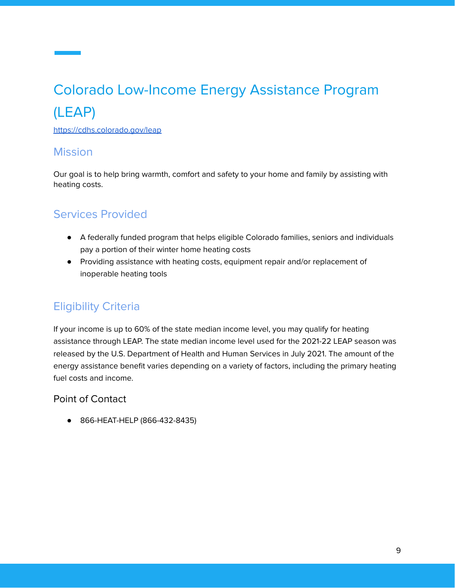# <span id="page-8-0"></span>Colorado Low-Income Energy Assistance Program (LEAP)

<https://cdhs.colorado.gov/leap>

#### **Mission**

Our goal is to help bring warmth, comfort and safety to your home and family by assisting with heating costs.

#### Services Provided

- A federally funded program that helps eligible Colorado families, seniors and individuals pay a portion of their winter home heating costs
- Providing assistance with heating costs, equipment repair and/or replacement of inoperable heating tools

#### Eligibility Criteria

If your income is up to 60% of the state median income level, you may qualify for heating assistance through LEAP. The state median income level used for the 2021-22 LEAP season was released by the U.S. Department of Health and Human Services in July 2021. The amount of the energy assistance benefit varies depending on a variety of factors, including the primary heating fuel costs and income.

#### Point of Contact

● 866-HEAT-HELP (866-432-8435)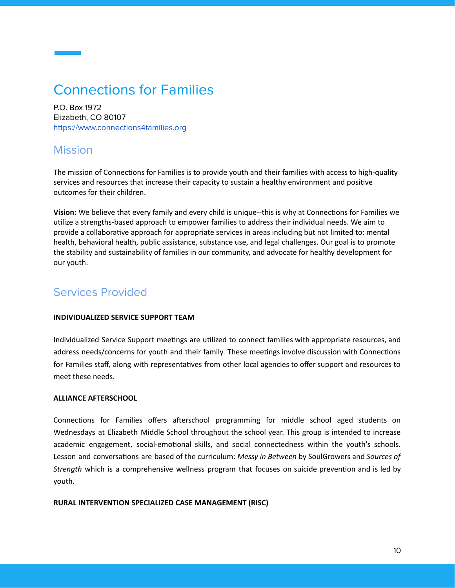# <span id="page-9-0"></span>Connections for Families

P.O. Box 1972 Elizabeth, CO 80107 [https://www.connections4families.org](https://www.connections4families.org/)

#### Mission

The mission of Connections for Families is to provide youth and their families with access to high-quality services and resources that increase their capacity to sustain a healthy environment and positive outcomes for their children.

**Vision:** We believe that every family and every child is unique--this is why at Connections for Families we utilize a strengths-based approach to empower families to address their individual needs. We aim to provide a collaborative approach for appropriate services in areas including but not limited to: mental health, behavioral health, public assistance, substance use, and legal challenges. Our goal is to promote the stability and sustainability of families in our community, and advocate for healthy development for our youth.

#### Services Provided

#### **INDIVIDUALIZED SERVICE SUPPORT TEAM**

Individualized Service Support meetings are utilized to connect families with appropriate resources, and address needs/concerns for youth and their family. These meetings involve discussion with Connections for Families staff, along with representatives from other local agencies to offer support and resources to meet these needs.

#### **ALLIANCE AFTERSCHOOL**

Connections for Families offers afterschool programming for middle school aged students on Wednesdays at Elizabeth Middle School throughout the school year. This group is intended to increase academic engagement, social-emotional skills, and social connectedness within the youth's schools. Lesson and conversations are based of the curriculum: *Messy in Between* by SoulGrowers and *Sources of Strength* which is a comprehensive wellness program that focuses on suicide prevention and is led by youth.

#### **RURAL INTERVENTION SPECIALIZED CASE MANAGEMENT (RISC)**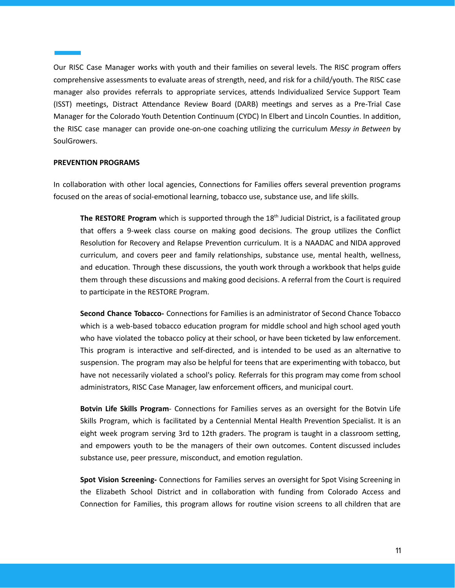Our RISC Case Manager works with youth and their families on several levels. The RISC program offers comprehensive assessments to evaluate areas of strength, need, and risk for a child/youth. The RISC case manager also provides referrals to appropriate services, attends Individualized Service Support Team (ISST) meetings, Distract Attendance Review Board (DARB) meetings and serves as a Pre-Trial Case Manager for the Colorado Youth Detention Continuum (CYDC) In Elbert and Lincoln Counties. In addition, the RISC case manager can provide one-on-one coaching utilizing the curriculum *Messy in Between* by SoulGrowers.

#### **PREVENTION PROGRAMS**

In collaboration with other local agencies, Connections for Families offers several prevention programs focused on the areas of social-emotional learning, tobacco use, substance use, and life skills.

**The RESTORE Program** which is supported through the 18<sup>th</sup> Judicial District, is a facilitated group that offers a 9-week class course on making good decisions. The group utilizes the Conflict Resolution for Recovery and Relapse Prevention curriculum. It is a NAADAC and NIDA approved curriculum, and covers peer and family relationships, substance use, mental health, wellness, and education. Through these discussions, the youth work through a workbook that helps guide them through these discussions and making good decisions. A referral from the Court is required to participate in the RESTORE Program.

**Second Chance Tobacco-** Connections for Families is an administrator of Second Chance Tobacco which is a web-based tobacco education program for middle school and high school aged youth who have violated the tobacco policy at their school, or have been ticketed by law enforcement. This program is interactive and self-directed, and is intended to be used as an alternative to suspension. The program may also be helpful for teens that are experimenting with tobacco, but have not necessarily violated a school's policy. Referrals for this program may come from school administrators, RISC Case Manager, law enforcement officers, and municipal court.

**Botvin Life Skills Program**- Connections for Families serves as an oversight for the Botvin Life Skills Program, which is facilitated by a Centennial Mental Health Prevention Specialist. It is an eight week program serving 3rd to 12th graders. The program is taught in a classroom setting, and empowers youth to be the managers of their own outcomes. Content discussed includes substance use, peer pressure, misconduct, and emotion regulation.

**Spot Vision Screening-** Connections for Families serves an oversight for Spot Vising Screening in the Elizabeth School District and in collaboration with funding from Colorado Access and Connection for Families, this program allows for routine vision screens to all children that are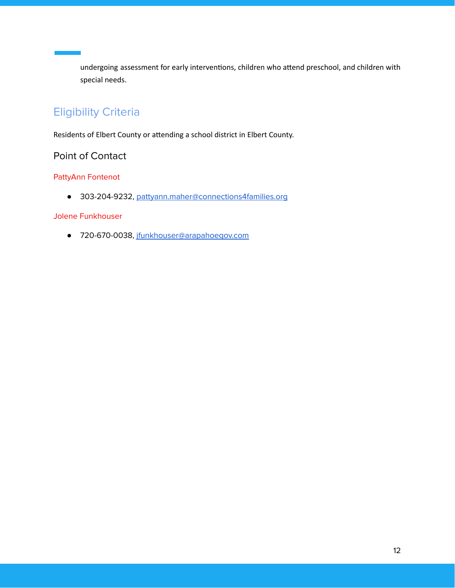undergoing assessment for early interventions, children who attend preschool, and children with special needs.

## Eligibility Criteria

Residents of Elbert County or attending a school district in Elbert County.

#### Point of Contact

#### PattyAnn Fontenot

● 303-204-9232, [pattyann.maher@connections4families.org](mailto:pattyann.maher@connections4families.org)

#### Jolene Funkhouser

● 720-670-0038, [jfunkhouser@arapahoegov.com](mailto:jfunkhouser@arapahoegov.com)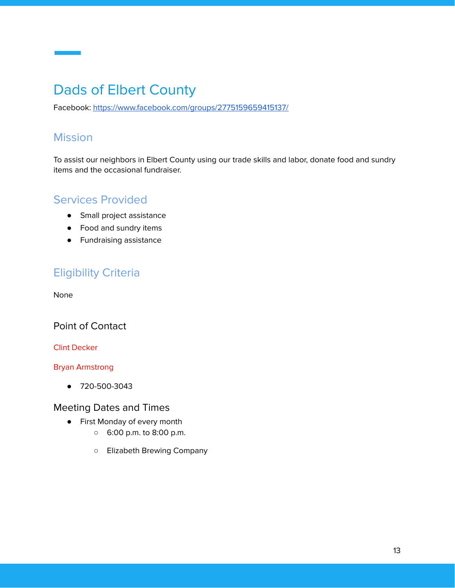# <span id="page-12-0"></span>Dads of Elbert County

Facebook: <https://www.facebook.com/groups/2775159659415137/>

#### Mission

To assist our neighbors in Elbert County using our trade skills and labor, donate food and sundry items and the occasional fundraiser.

#### Services Provided

- Small project assistance
- Food and sundry items
- Fundraising assistance

#### Eligibility Criteria

None

#### Point of Contact

#### Clint Decker

#### Bryan Armstrong

● 720-500-3043

#### Meeting Dates and Times

- First Monday of every month
	- 6:00 p.m. to 8:00 p.m.
	- Elizabeth Brewing Company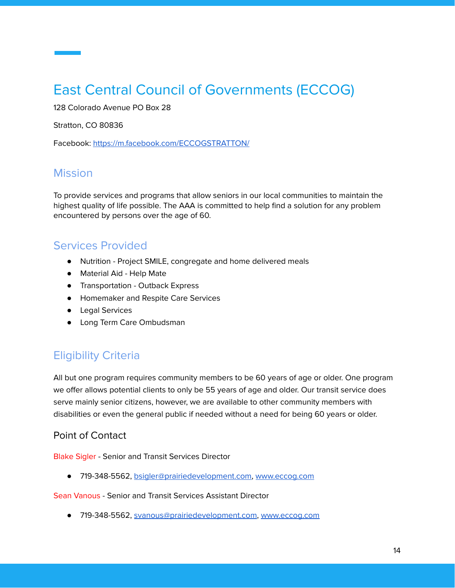# <span id="page-13-0"></span>East Central Council of Governments (ECCOG)

128 Colorado Avenue PO Box 28

Stratton, CO 80836

Facebook: <https://m.facebook.com/ECCOGSTRATTON/>

#### **Mission**

To provide services and programs that allow seniors in our local communities to maintain the highest quality of life possible. The AAA is committed to help find a solution for any problem encountered by persons over the age of 60.

#### Services Provided

- Nutrition Project SMILE, congregate and home delivered meals
- Material Aid Help Mate
- Transportation Outback Express
- Homemaker and Respite Care Services
- Legal Services
- Long Term Care Ombudsman

#### Eligibility Criteria

All but one program requires community members to be 60 years of age or older. One program we offer allows potential clients to only be 55 years of age and older. Our transit service does serve mainly senior citizens, however, we are available to other community members with disabilities or even the general public if needed without a need for being 60 years or older.

#### Point of Contact

Blake Sigler - Senior and Transit Services Director

● 719-348-5562, [bsigler@prairiedevelopment.com](mailto:bsigler@prairiedevelopment.com), [www.eccog.com](http://www.eccog.com/)

#### Sean Vanous - Senior and Transit Services Assistant Director

● 719-348-5562, [svanous@prairiedevelopment.com,](mailto:svanous@prairiedevelopment.com) [www.eccog.com](http://www.eccog.com/)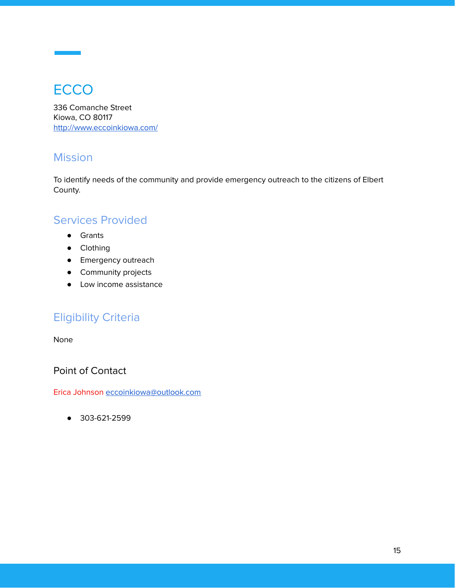# <span id="page-14-0"></span>**ECCO**

336 Comanche Street Kiowa, CO 80117 <http://www.eccoinkiowa.com/>

#### **Mission**

To identify needs of the community and provide emergency outreach to the citizens of Elbert County.

#### Services Provided

- Grants
- Clothing
- Emergency outreach
- Community projects
- Low income assistance

## Eligibility Criteria

None

Point of Contact

Erica Johnson [eccoinkiowa@outlook.com](mailto:eccoinkiowa@outlook.com)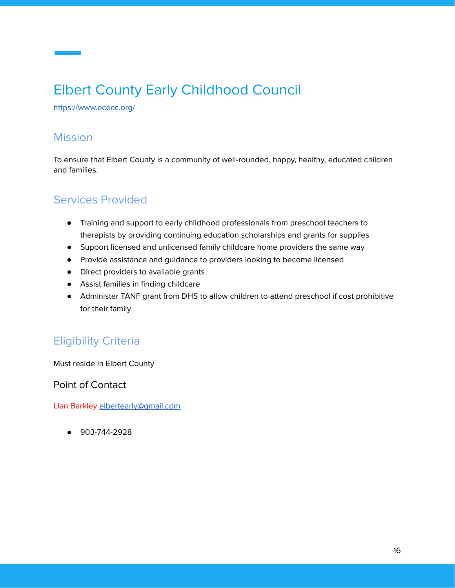# <span id="page-15-0"></span>Elbert County Early Childhood Council

<https://www.ececc.org/>

#### Mission

To ensure that Elbert County is a community of well-rounded, happy, healthy, educated children and families.

#### Services Provided

- Training and support to early childhood professionals from preschool teachers to therapists by providing continuing education scholarships and grants for supplies
- Support licensed and unlicensed family childcare home providers the same way
- Provide assistance and guidance to providers looking to become licensed
- Direct providers to available grants
- Assist families in finding childcare
- Administer TANF grant from DHS to allow children to attend preschool if cost prohibitive for their family

#### Eligibility Criteria

Must reside in Elbert County

Point of Contact

Llan Barkley [elbertearly@gmail.com](mailto:elbertearly@gmail.com)

● 903-744-2928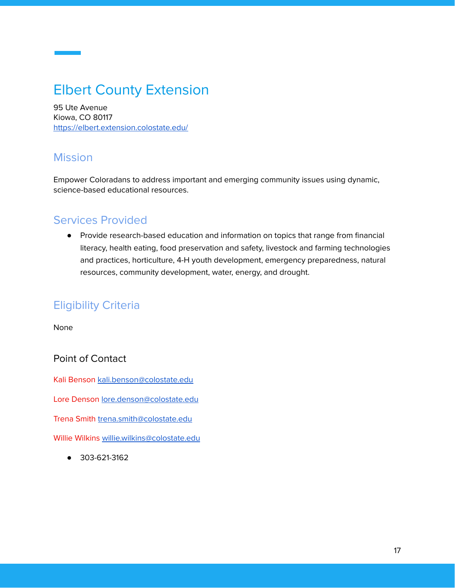# <span id="page-16-0"></span>Elbert County Extension

95 Ute Avenue Kiowa, CO 80117 <https://elbert.extension.colostate.edu/>

#### **Mission**

Empower Coloradans to address important and emerging community issues using dynamic, science-based educational resources.

#### Services Provided

● Provide research-based education and information on topics that range from financial literacy, health eating, food preservation and safety, livestock and farming technologies and practices, horticulture, 4-H youth development, emergency preparedness, natural resources, community development, water, energy, and drought.

## Eligibility Criteria

None

#### Point of Contact

Kali Benson [kali.benson@colostate.edu](mailto:kali.benson@colostate.edu)

Lore Denson [lore.denson@colostate.edu](mailto:lore.denson@colostate.edu)

Trena Smith [trena.smith@colostate.edu](mailto:trena.smith@colostate.edu)

Willie Wilkins [willie.wilkins@colostate.edu](mailto:willie.wilkins@colostate.edu)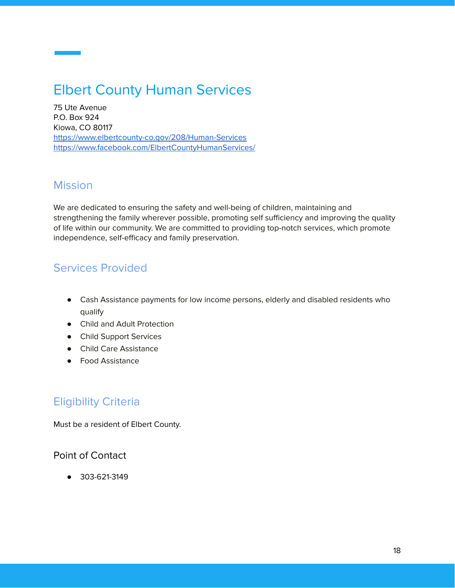# <span id="page-17-0"></span>Elbert County Human Services

75 Ute Avenue P.O. Box 924 Kiowa, CO 80117 <https://www.elbertcounty-co.gov/208/Human-Services> <https://www.facebook.com/ElbertCountyHumanServices/>

#### Mission

We are dedicated to ensuring the safety and well-being of children, maintaining and strengthening the family wherever possible, promoting self sufficiency and improving the quality of life within our community. We are committed to providing top-notch services, which promote independence, self-efficacy and family preservation.

## Services Provided

- Cash Assistance payments for low income persons, elderly and disabled residents who qualify
- Child and Adult Protection
- Child Support Services
- Child Care Assistance
- Food Assistance

## Eligibility Criteria

Must be a resident of Elbert County.

#### Point of Contact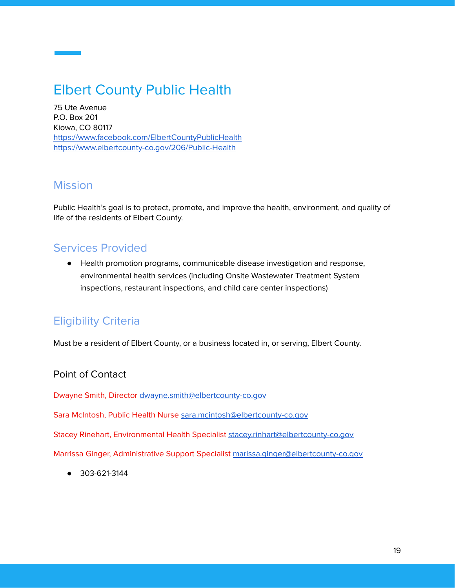# <span id="page-18-0"></span>Elbert County Public Health

75 Ute Avenue P.O. Box 201 Kiowa, CO 80117 <https://www.facebook.com/ElbertCountyPublicHealth> <https://www.elbertcounty-co.gov/206/Public-Health>

#### Mission

Public Health's goal is to protect, promote, and improve the health, environment, and quality of life of the residents of Elbert County.

## Services Provided

● Health promotion programs, communicable disease investigation and response, environmental health services (including Onsite Wastewater Treatment System inspections, restaurant inspections, and child care center inspections)

## Eligibility Criteria

Must be a resident of Elbert County, or a business located in, or serving, Elbert County.

#### Point of Contact

Dwayne Smith, Director [dwayne.smith@elbertcounty-co.gov](mailto:dwayne.smith@elbertcounty-co.gov)

Sara McIntosh, Public Health Nurse [sara.mcintosh@elbertcounty-co.gov](mailto:sara.mcintosh@elbertcounty-co.gov)

Stacey Rinehart, Environmental Health Specialist [stacey.rinhart@elbertcounty-co.gov](mailto:stacey.rinhart@elbertcounty-co.gov)

Marrissa Ginger, Administrative Support Specialist [marissa.ginger@elbertcounty-co.gov](mailto:marissa.ginger@elbertcounty-co.gov)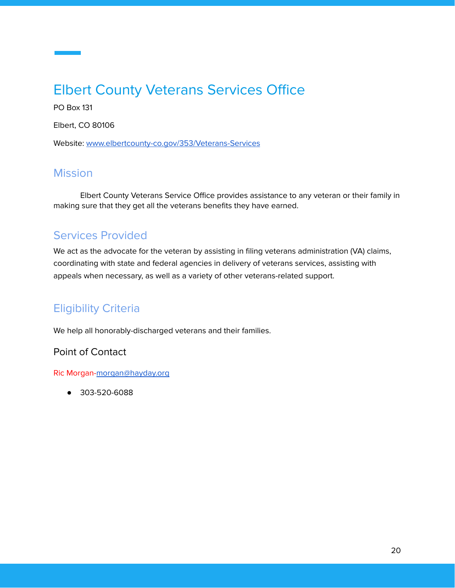# <span id="page-19-0"></span>Elbert County Veterans Services Office

PO Box 131

Elbert, CO 80106

Website: [www.elbertcounty-co.gov/353/Veterans-Services](https://www.elbertcounty-co.gov/353/Veterans-Services)

#### **Mission**

Elbert County Veterans Service Office provides assistance to any veteran or their family in making sure that they get all the veterans benefits they have earned.

## Services Provided

We act as the advocate for the veteran by assisting in filing veterans administration (VA) claims, coordinating with state and federal agencies in delivery of veterans services, assisting with appeals when necessary, as well as a variety of other veterans-related support.

## Eligibility Criteria

We help all honorably-discharged veterans and their families.

#### Point of Contact

Ric Morgan-[morgan@hayday.org](mailto:morgan@hayday.org)

● 303-520-6088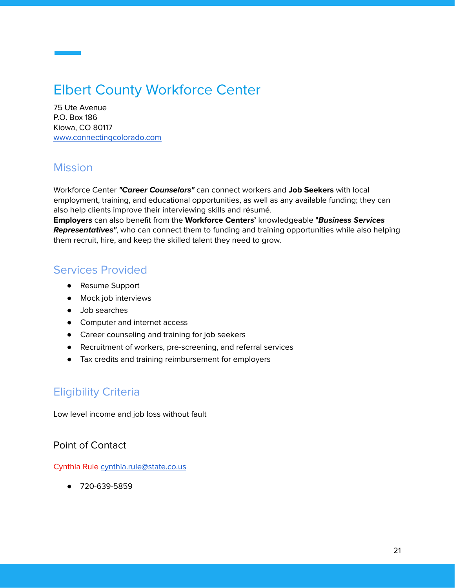# <span id="page-20-0"></span>Elbert County Workforce Center

75 Ute Avenue P.O. Box 186 Kiowa, CO 80117 [www.connectingcolorado.com](http://www.connectingcolorado.com/)

#### Mission

Workforce Center **"Career Counselors"** can connect workers and **Job Seekers** with local employment, training, and educational opportunities, as well as any available funding; they can also help clients improve their interviewing skills and résumé.

**Employers** can also benefit from the **Workforce Centers'** knowledgeable "**Business Services Representatives"**, who can connect them to funding and training opportunities while also helping them recruit, hire, and keep the skilled talent they need to grow.

#### Services Provided

- Resume Support
- Mock job interviews
- Job searches
- Computer and internet access
- Career counseling and training for job seekers
- Recruitment of workers, pre-screening, and referral services
- Tax credits and training reimbursement for employers

## Eligibility Criteria

Low level income and job loss without fault

#### Point of Contact

Cynthia Rule [cynthia.rule@state.co.us](mailto:cynthia.rule@state.co.us)

● 720-639-5859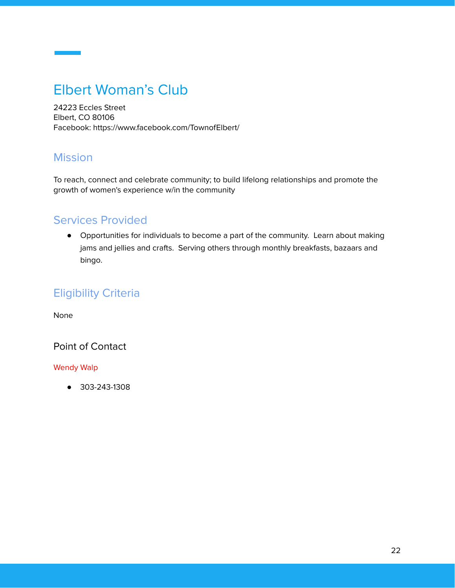# <span id="page-21-0"></span>Elbert Woman's Club

24223 Eccles Street Elbert, CO 80106 Facebook: https://www.facebook.com/TownofElbert/

#### Mission

To reach, connect and celebrate community; to build lifelong relationships and promote the growth of women's experience w/in the community

## Services Provided

● Opportunities for individuals to become a part of the community. Learn about making jams and jellies and crafts. Serving others through monthly breakfasts, bazaars and bingo.

## Eligibility Criteria

None

#### Point of Contact

#### Wendy Walp

● 303-243-1308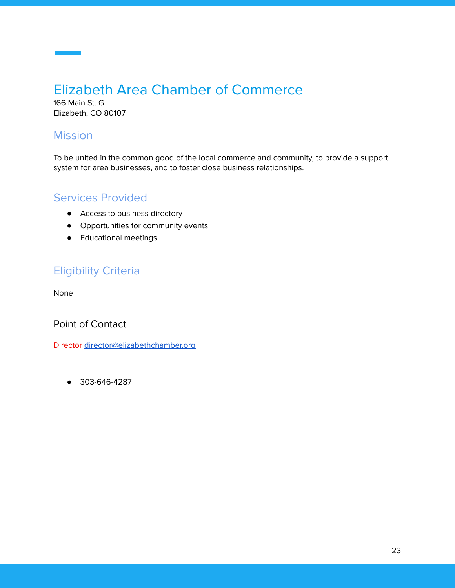# <span id="page-22-0"></span>Elizabeth Area Chamber of Commerce

166 Main St. G Elizabeth, CO 80107

## **Mission**

To be united in the common good of the local commerce and community, to provide a support system for area businesses, and to foster close business relationships.

#### Services Provided

- Access to business directory
- Opportunities for community events
- Educational meetings

## Eligibility Criteria

None

Point of Contact

Director [director@elizabethchamber.org](mailto:director@elizabethchamber.org)

● 303-646-4287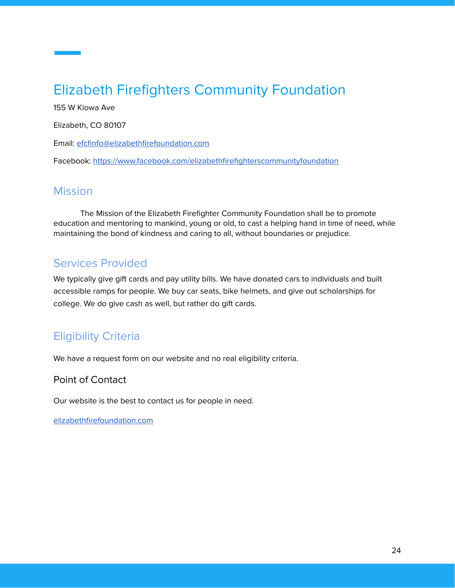# <span id="page-23-0"></span>Elizabeth Firefighters Community Foundation

155 W Kiowa Ave

Elizabeth, CO 80107

Email: [efcfinfo@elizabethfirefoundation.com](mailto:efcfinfo@elizabethfirefoundation.com)

Facebook: <https://www.facebook.com/elizabethfirefighterscommunityfoundation>

#### **Mission**

The Mission of the Elizabeth Firefighter Community Foundation shall be to promote education and mentoring to mankind, young or old, to cast a helping hand in time of need, while maintaining the bond of kindness and caring to all, without boundaries or prejudice.

## Services Provided

We typically give gift cards and pay utility bills. We have donated cars to individuals and built accessible ramps for people. We buy car seats, bike helmets, and give out scholarships for college. We do give cash as well, but rather do gift cards.

## Eligibility Criteria

We have a request form on our website and no real eligibility criteria.

#### Point of Contact

Our website is the best to contact us for people in need.

[elizabethfirefoundation.com](https://elizabethfirefoundation.com/)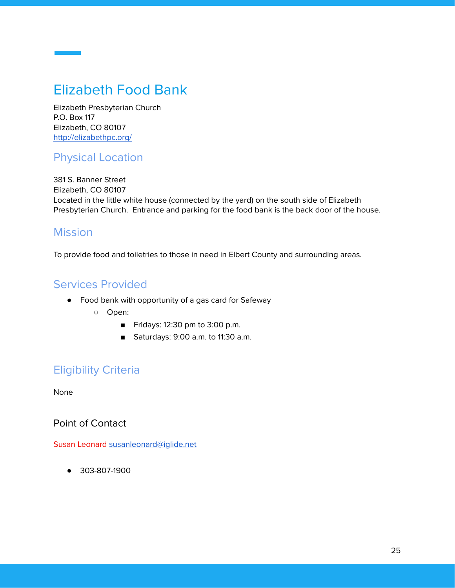# <span id="page-24-0"></span>Elizabeth Food Bank

Elizabeth Presbyterian Church P.O. Box 117 Elizabeth, CO 80107 <http://elizabethpc.org/>

#### Physical Location

381 S. Banner Street Elizabeth, CO 80107 Located in the little white house (connected by the yard) on the south side of Elizabeth Presbyterian Church. Entrance and parking for the food bank is the back door of the house.

#### **Mission**

To provide food and toiletries to those in need in Elbert County and surrounding areas.

#### Services Provided

- Food bank with opportunity of a gas card for Safeway
	- Open:
		- Fridays: 12:30 pm to 3:00 p.m.
		- Saturdays: 9:00 a.m. to 11:30 a.m.

#### Eligibility Criteria

None

Point of Contact

Susan Leonard [susanleonard@iglide.net](mailto:susanleonard@iglide.net)

● 303-807-1900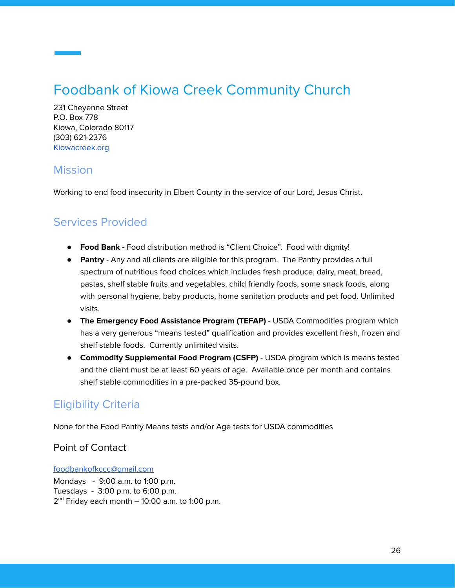# <span id="page-25-0"></span>Foodbank of Kiowa Creek Community Church

231 Cheyenne Street P.O. Box 778 Kiowa, Colorado 80117 (303) 621-2376 [Kiowacreek.org](http://www.kiowacreek.org/)

#### **Mission**

Working to end food insecurity in Elbert County in the service of our Lord, Jesus Christ.

## Services Provided

- **Food Bank -** Food distribution method is "Client Choice". Food with dignity!
- **Pantry** Any and all clients are eligible for this program. The Pantry provides a full spectrum of nutritious food choices which includes fresh produce, dairy, meat, bread, pastas, shelf stable fruits and vegetables, child friendly foods, some snack foods, along with personal hygiene, baby products, home sanitation products and pet food. Unlimited visits.
- **The Emergency Food Assistance Program (TEFAP)** USDA Commodities program which has a very generous "means tested" qualification and provides excellent fresh, frozen and shelf stable foods. Currently unlimited visits.
- **Commodity Supplemental Food Program (CSFP)** USDA program which is means tested and the client must be at least 60 years of age. Available once per month and contains shelf stable commodities in a pre-packed 35-pound box.

## Eligibility Criteria

None for the Food Pantry Means tests and/or Age tests for USDA commodities

#### Point of Contact

[foodbankofkccc@gmail.com](mailto:foodbankofkccc@gmail.com)

Mondays - 9:00 a.m. to 1:00 p.m. Tuesdays - 3:00 p.m. to 6:00 p.m. 2<sup>nd</sup> Friday each month – 10:00 a.m. to 1:00 p.m.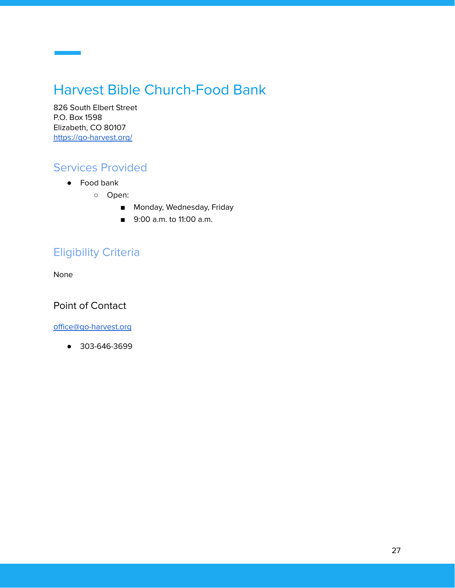# <span id="page-26-0"></span>Harvest Bible Church-Food Bank

826 South Elbert Street P.O. Box 1598 Elizabeth, CO 80107 <https://go-harvest.org/>

## Services Provided

- Food bank
	- Open:
		- Monday, Wednesday, Friday
		- 9:00 a.m. to 11:00 a.m.

## Eligibility Criteria

None

Point of Contact

[office@go-harvest.org](mailto:office@go-harvest.org)

● 303-646-3699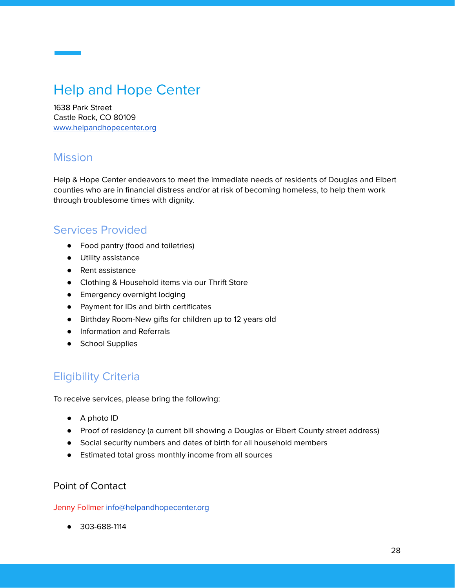# <span id="page-27-0"></span>Help and Hope Center

1638 Park Street Castle Rock, CO 80109 [www.helpandhopecenter.org](http://www.helpandhopecenter.org/)

#### **Mission**

Help & Hope Center endeavors to meet the immediate needs of residents of Douglas and Elbert counties who are in financial distress and/or at risk of becoming homeless, to help them work through troublesome times with dignity.

#### Services Provided

- Food pantry (food and toiletries)
- Utility assistance
- Rent assistance
- Clothing & Household items via our Thrift Store
- Emergency overnight lodging
- Payment for IDs and birth certificates
- Birthday Room-New gifts for children up to 12 years old
- Information and Referrals
- School Supplies

## Eligibility Criteria

To receive services, please bring the following:

- A photo ID
- Proof of residency (a current bill showing a Douglas or Elbert County street address)
- Social security numbers and dates of birth for all household members
- Estimated total gross monthly income from all sources

#### Point of Contact

Jenny Follmer [info@helpandhopecenter.org](mailto:info@helpandhopecenter.org)

● 303-688-1114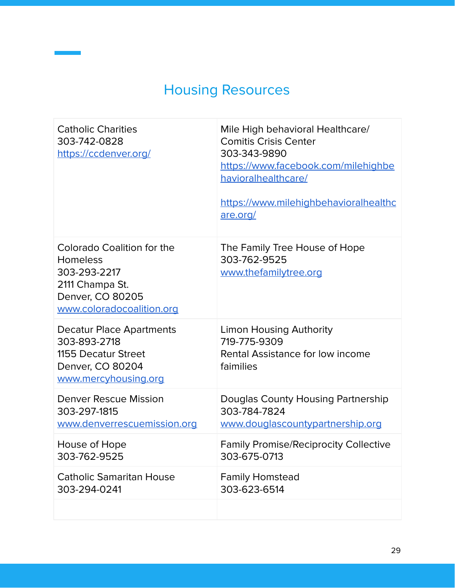# Housing Resources

<span id="page-28-0"></span>

| <b>Catholic Charities</b><br>303-742-0828<br>https://ccdenver.org/                                                                | Mile High behavioral Healthcare/<br><b>Comitis Crisis Center</b><br>303-343-9890<br>https://www.facebook.com/milehighbe<br>havioralhealthcare/<br>https://www.milehighbehavioralhealthc<br>are.org/ |
|-----------------------------------------------------------------------------------------------------------------------------------|-----------------------------------------------------------------------------------------------------------------------------------------------------------------------------------------------------|
| Colorado Coalition for the<br><b>Homeless</b><br>303-293-2217<br>2111 Champa St.<br>Denver, CO 80205<br>www.coloradocoalition.org | The Family Tree House of Hope<br>303-762-9525<br>www.thefamilytree.org                                                                                                                              |
| <b>Decatur Place Apartments</b><br>303-893-2718<br>1155 Decatur Street<br>Denver, CO 80204<br>www.mercyhousing.org                | <b>Limon Housing Authority</b><br>719-775-9309<br>Rental Assistance for low income<br>faimilies                                                                                                     |
| Denver Rescue Mission<br>303-297-1815<br>www.denverrescuemission.org                                                              | Douglas County Housing Partnership<br>303-784-7824<br>www.douglascountypartnership.org                                                                                                              |
| House of Hope<br>303-762-9525                                                                                                     | <b>Family Promise/Reciprocity Collective</b><br>303-675-0713                                                                                                                                        |
| <b>Catholic Samaritan House</b><br>303-294-0241                                                                                   | <b>Family Homstead</b><br>303-623-6514                                                                                                                                                              |
|                                                                                                                                   |                                                                                                                                                                                                     |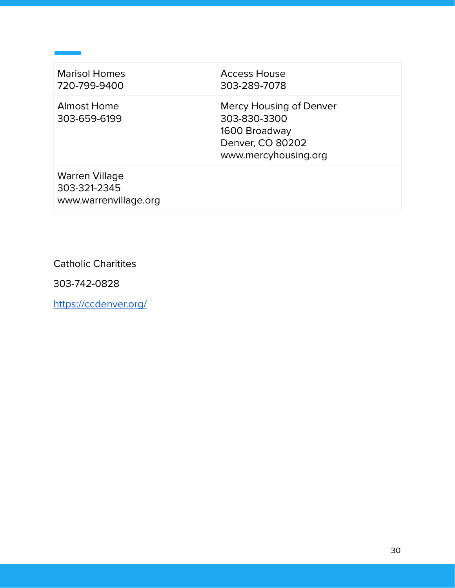| <b>Marisol Homes</b><br>720-799-9400                           | <b>Access House</b><br>303-289-7078                                                                  |
|----------------------------------------------------------------|------------------------------------------------------------------------------------------------------|
| <b>Almost Home</b><br>303-659-6199                             | Mercy Housing of Denver<br>303-830-3300<br>1600 Broadway<br>Denver, CO 80202<br>www.mercyhousing.org |
| <b>Warren Village</b><br>303-321-2345<br>www.warrenvillage.org |                                                                                                      |

Catholic Charitites

303-742-0828

<https://ccdenver.org/>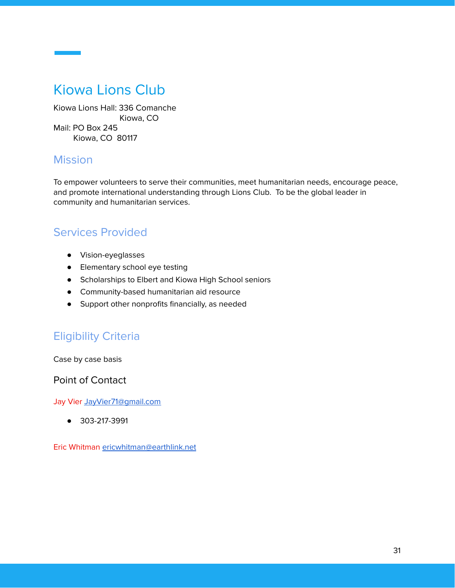## <span id="page-30-0"></span>Kiowa Lions Club

Kiowa Lions Hall: 336 Comanche Kiowa, CO Mail: PO Box 245 Kiowa, CO 80117

#### **Mission**

To empower volunteers to serve their communities, meet humanitarian needs, encourage peace, and promote international understanding through Lions Club. To be the global leader in community and humanitarian services.

## Services Provided

- Vision-eyeglasses
- Elementary school eye testing
- Scholarships to Elbert and Kiowa High School seniors
- Community-based humanitarian aid resource
- Support other nonprofits financially, as needed

## Eligibility Criteria

Case by case basis

Point of Contact

Jay Vier Jay Vier 71@gmail.com

● 303-217-3991

Eric Whitman [ericwhitman@earthlink.net](mailto:ericwhitman@earthlink.net)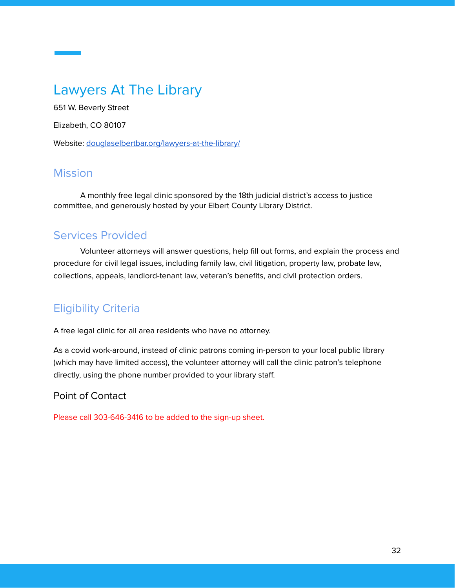## <span id="page-31-0"></span>Lawyers At The Library

651 W. Beverly Street

Elizabeth, CO 80107

Website: [douglaselbertbar.org/lawyers-at-the-library/](http://douglaselbertbar.org/lawyers-at-the-library/)

#### **Mission**

A monthly free legal clinic sponsored by the 18th judicial district's access to justice committee, and generously hosted by your Elbert County Library District.

## Services Provided

Volunteer attorneys will answer questions, help fill out forms, and explain the process and procedure for civil legal issues, including family law, civil litigation, property law, probate law, collections, appeals, landlord-tenant law, veteran's benefits, and civil protection orders.

## Eligibility Criteria

A free legal clinic for all area residents who have no attorney.

As a covid work-around, instead of clinic patrons coming in-person to your local public library (which may have limited access), the volunteer attorney will call the clinic patron's telephone directly, using the phone number provided to your library staff.

#### Point of Contact

Please call 303-646-3416 to be added to the sign-up sheet.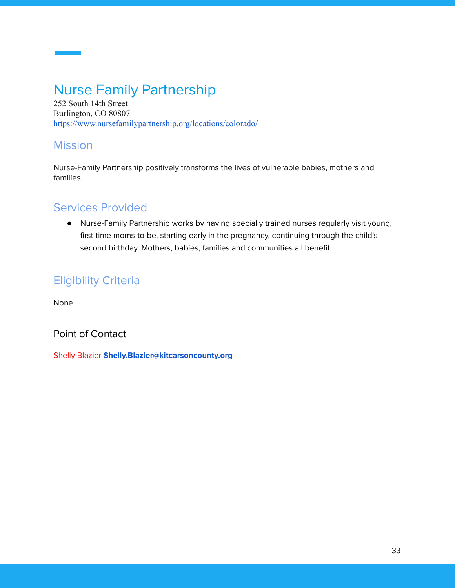# <span id="page-32-0"></span>Nurse Family Partnership

252 South 14th Street Burlington, CO 80807 <https://www.nursefamilypartnership.org/locations/colorado/>

#### Mission

Nurse-Family Partnership positively transforms the lives of vulnerable babies, mothers and families.

## Services Provided

● Nurse-Family Partnership works by having specially trained nurses regularly visit young, first-time moms-to-be, starting early in the pregnancy, continuing through the child's second birthday. Mothers, babies, families and communities all benefit.

## Eligibility Criteria

None

Point of Contact

Shelly Blazier **[Shelly.Blazier@kitcarsoncounty.org](mailto:Shelly.Blazier@kitcarsoncounty.org)**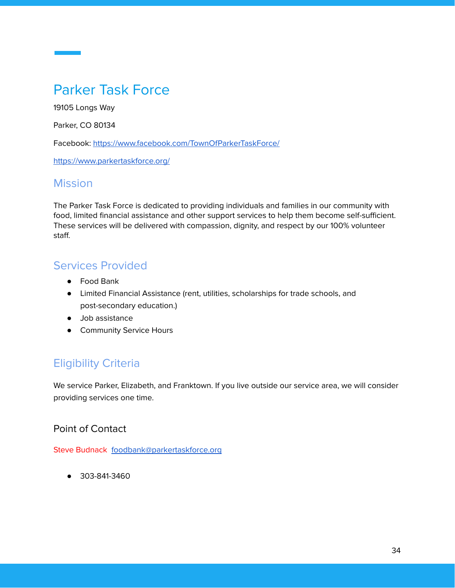# <span id="page-33-0"></span>Parker Task Force

19105 Longs Way

Parker, CO 80134

Facebook: <https://www.facebook.com/TownOfParkerTaskForce/>

<https://www.parkertaskforce.org/>

#### **Mission**

The Parker Task Force is dedicated to providing individuals and families in our community with food, limited financial assistance and other support services to help them become self-sufficient. These services will be delivered with compassion, dignity, and respect by our 100% volunteer staff.

#### Services Provided

- Food Bank
- Limited Financial Assistance (rent, utilities, scholarships for trade schools, and post-secondary education.)
- Job assistance
- **•** Community Service Hours

## Eligibility Criteria

We service Parker, Elizabeth, and Franktown. If you live outside our service area, we will consider providing services one time.

#### Point of Contact

Steve Budnack [foodbank@parkertaskforce.org](mailto:foodbank@parkertaskforce.org)

● 303-841-3460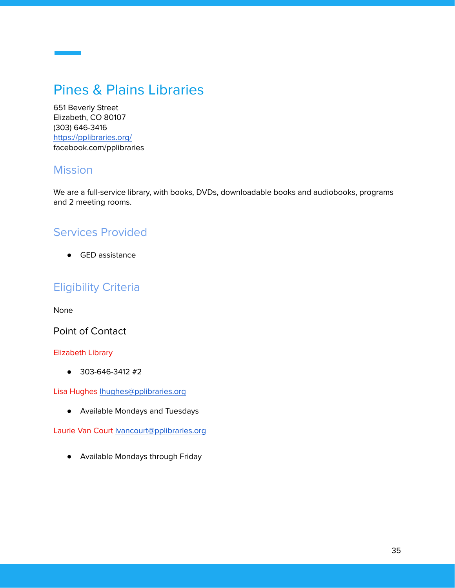# <span id="page-34-0"></span>Pines & Plains Libraries

651 Beverly Street Elizabeth, CO 80107 (303) 646-3416 <https://pplibraries.org/> facebook.com/pplibraries

#### **Mission**

We are a full-service library, with books, DVDs, downloadable books and audiobooks, programs and 2 meeting rooms.

#### Services Provided

● GED assistance

#### Eligibility Criteria

None

Point of Contact

#### Elizabeth Library

● 303-646-3412 #2

Lisa Hughes [lhughes@pplibraries.org](mailto:lhughes@pplibraries.org)

● Available Mondays and Tuesdays

Laurie Van Court **Mancourt@pplibraries.org** 

● Available Mondays through Friday